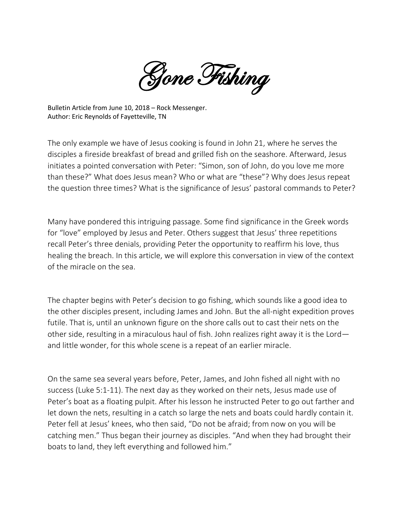Gone Fishing

Bulletin Article from June 10, 2018 – Rock Messenger. Author: Eric Reynolds of Fayetteville, TN

The only example we have of Jesus cooking is found in John 21, where he serves the disciples a fireside breakfast of bread and grilled fish on the seashore. Afterward, Jesus initiates a pointed conversation with Peter: "Simon, son of John, do you love me more than these?" What does Jesus mean? Who or what are "these"? Why does Jesus repeat the question three times? What is the significance of Jesus' pastoral commands to Peter?

Many have pondered this intriguing passage. Some find significance in the Greek words for "love" employed by Jesus and Peter. Others suggest that Jesus' three repetitions recall Peter's three denials, providing Peter the opportunity to reaffirm his love, thus healing the breach. In this article, we will explore this conversation in view of the context of the miracle on the sea.

The chapter begins with Peter's decision to go fishing, which sounds like a good idea to the other disciples present, including James and John. But the all-night expedition proves futile. That is, until an unknown figure on the shore calls out to cast their nets on the other side, resulting in a miraculous haul of fish. John realizes right away it is the Lord and little wonder, for this whole scene is a repeat of an earlier miracle.

On the same sea several years before, Peter, James, and John fished all night with no success (Luke 5:1-11). The next day as they worked on their nets, Jesus made use of Peter's boat as a floating pulpit. After his lesson he instructed Peter to go out farther and let down the nets, resulting in a catch so large the nets and boats could hardly contain it. Peter fell at Jesus' knees, who then said, "Do not be afraid; from now on you will be catching men." Thus began their journey as disciples. "And when they had brought their boats to land, they left everything and followed him."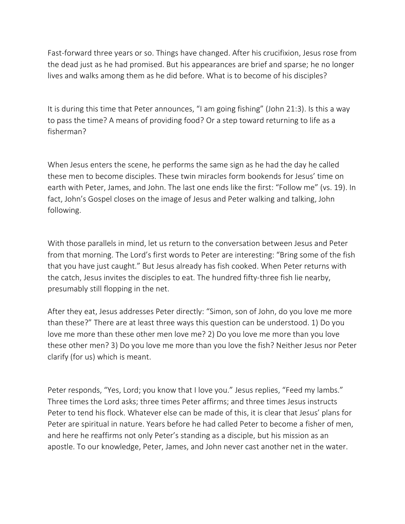Fast-forward three years or so. Things have changed. After his crucifixion, Jesus rose from the dead just as he had promised. But his appearances are brief and sparse; he no longer lives and walks among them as he did before. What is to become of his disciples?

It is during this time that Peter announces, "I am going fishing" (John 21:3). Is this a way to pass the time? A means of providing food? Or a step toward returning to life as a fisherman?

When Jesus enters the scene, he performs the same sign as he had the day he called these men to become disciples. These twin miracles form bookends for Jesus' time on earth with Peter, James, and John. The last one ends like the first: "Follow me" (vs. 19). In fact, John's Gospel closes on the image of Jesus and Peter walking and talking, John following.

With those parallels in mind, let us return to the conversation between Jesus and Peter from that morning. The Lord's first words to Peter are interesting: "Bring some of the fish that you have just caught." But Jesus already has fish cooked. When Peter returns with the catch, Jesus invites the disciples to eat. The hundred fifty-three fish lie nearby, presumably still flopping in the net.

After they eat, Jesus addresses Peter directly: "Simon, son of John, do you love me more than these?" There are at least three ways this question can be understood. 1) Do you love me more than these other men love me? 2) Do you love me more than you love these other men? 3) Do you love me more than you love the fish? Neither Jesus nor Peter clarify (for us) which is meant.

Peter responds, "Yes, Lord; you know that I love you." Jesus replies, "Feed my lambs." Three times the Lord asks; three times Peter affirms; and three times Jesus instructs Peter to tend his flock. Whatever else can be made of this, it is clear that Jesus' plans for Peter are spiritual in nature. Years before he had called Peter to become a fisher of men, and here he reaffirms not only Peter's standing as a disciple, but his mission as an apostle. To our knowledge, Peter, James, and John never cast another net in the water.